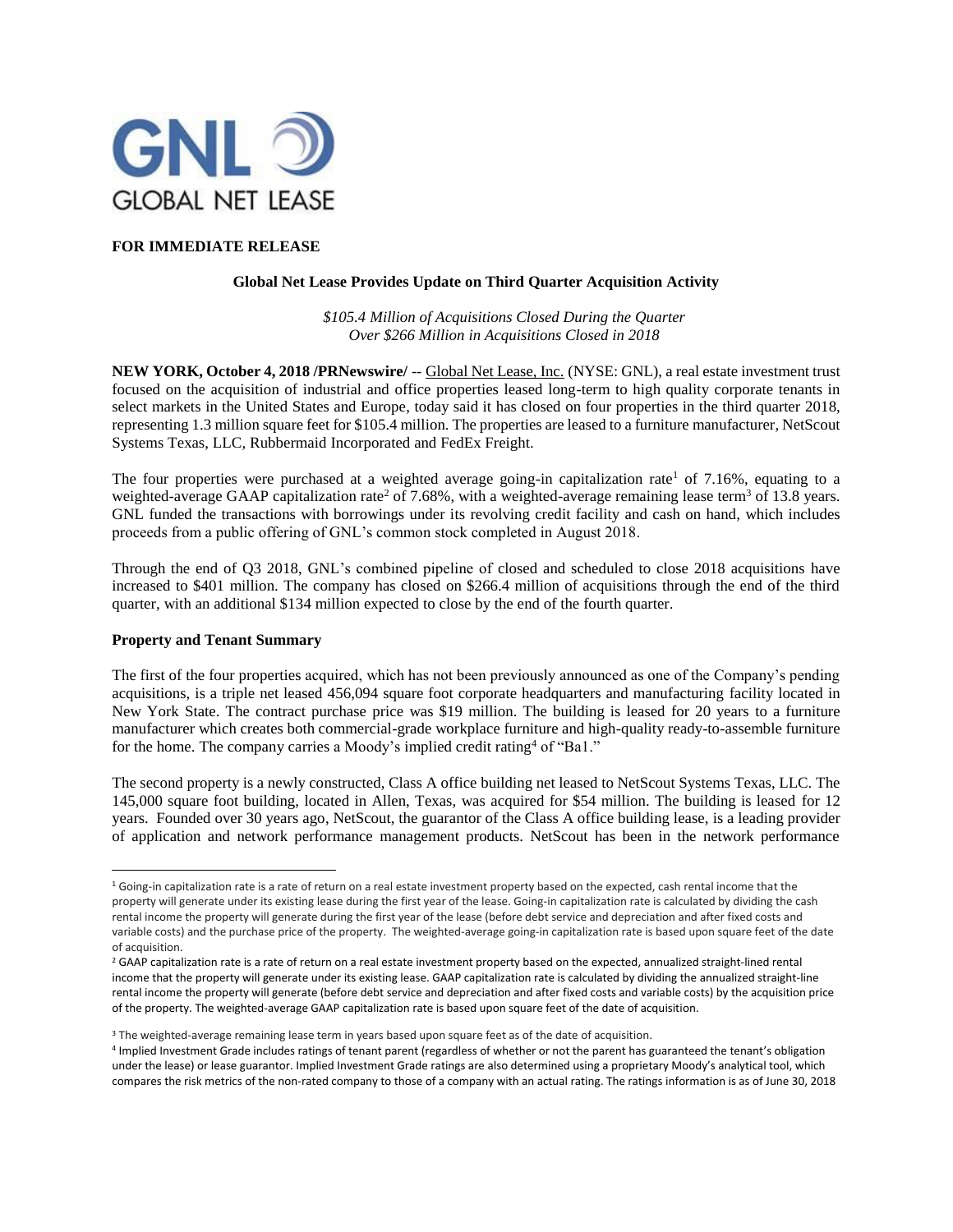

## **FOR IMMEDIATE RELEASE**

#### **Global Net Lease Provides Update on Third Quarter Acquisition Activity**

*\$105.4 Million of Acquisitions Closed During the Quarter Over \$266 Million in Acquisitions Closed in 2018*

**NEW YORK, October 4, 2018 /PRNewswire/** -- Global Net Lease, Inc. (NYSE: GNL), a real estate investment trust focused on the acquisition of industrial and office properties leased long-term to high quality corporate tenants in select markets in the United States and Europe, today said it has closed on four properties in the third quarter 2018, representing 1.3 million square feet for \$105.4 million. The properties are leased to a furniture manufacturer, NetScout Systems Texas, LLC, Rubbermaid Incorporated and FedEx Freight.

The four properties were purchased at a weighted average going-in capitalization rate<sup>1</sup> of 7.16%, equating to a weighted-average GAAP capitalization rate<sup>2</sup> of 7.68%, with a weighted-average remaining lease term<sup>3</sup> of 13.8 years. GNL funded the transactions with borrowings under its revolving credit facility and cash on hand, which includes proceeds from a public offering of GNL's common stock completed in August 2018.

Through the end of Q3 2018, GNL's combined pipeline of closed and scheduled to close 2018 acquisitions have increased to \$401 million. The company has closed on \$266.4 million of acquisitions through the end of the third quarter, with an additional \$134 million expected to close by the end of the fourth quarter.

#### **Property and Tenant Summary**

 $\overline{\phantom{a}}$ 

The first of the four properties acquired, which has not been previously announced as one of the Company's pending acquisitions, is a triple net leased 456,094 square foot corporate headquarters and manufacturing facility located in New York State. The contract purchase price was \$19 million. The building is leased for 20 years to a furniture manufacturer which creates both commercial-grade workplace furniture and high-quality ready-to-assemble furniture for the home. The company carries a Moody's implied credit rating<sup>4</sup> of "Ba1."

The second property is a newly constructed, Class A office building net leased to NetScout Systems Texas, LLC. The 145,000 square foot building, located in Allen, Texas, was acquired for \$54 million. The building is leased for 12 years. Founded over 30 years ago, NetScout, the guarantor of the Class A office building lease, is a leading provider of application and network performance management products. NetScout has been in the network performance

 $16$  Going-in capitalization rate is a rate of return on a real estate investment property based on the expected, cash rental income that the property will generate under its existing lease during the first year of the lease. Going-in capitalization rate is calculated by dividing the cash rental income the property will generate during the first year of the lease (before debt service and depreciation and after fixed costs and variable costs) and the purchase price of the property. The weighted-average going-in capitalization rate is based upon square feet of the date of acquisition.

<sup>&</sup>lt;sup>2</sup> GAAP capitalization rate is a rate of return on a real estate investment property based on the expected, annualized straight-lined rental income that the property will generate under its existing lease. GAAP capitalization rate is calculated by dividing the annualized straight-line rental income the property will generate (before debt service and depreciation and after fixed costs and variable costs) by the acquisition price of the property. The weighted-average GAAP capitalization rate is based upon square feet of the date of acquisition.

<sup>&</sup>lt;sup>3</sup> The weighted-average remaining lease term in years based upon square feet as of the date of acquisition.

<sup>4</sup> Implied Investment Grade includes ratings of tenant parent (regardless of whether or not the parent has guaranteed the tenant's obligation under the lease) or lease guarantor. Implied Investment Grade ratings are also determined using a proprietary Moody's analytical tool, which compares the risk metrics of the non-rated company to those of a company with an actual rating. The ratings information is as of June 30, 2018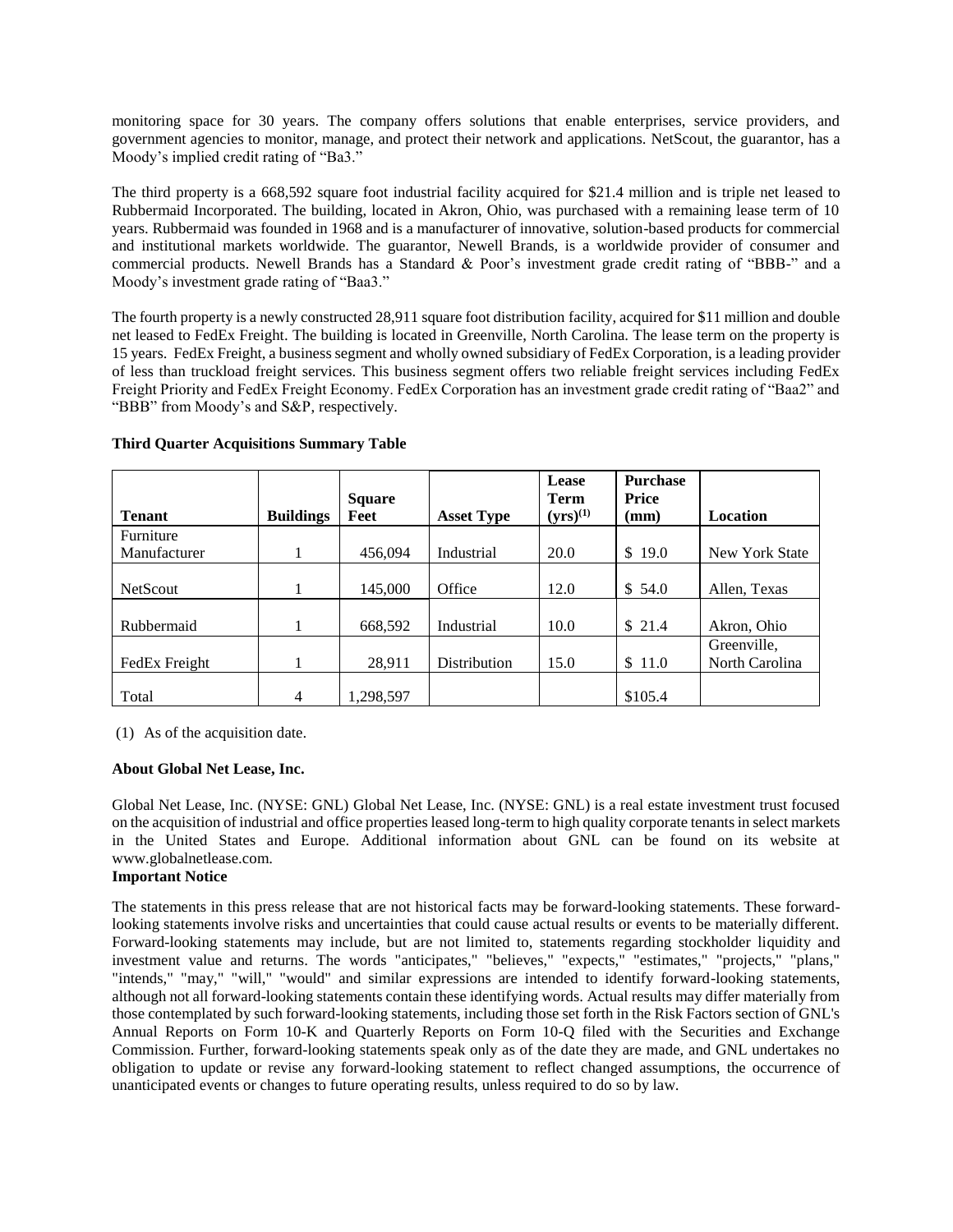monitoring space for 30 years. The company offers solutions that enable enterprises, service providers, and government agencies to monitor, manage, and protect their network and applications. NetScout, the guarantor, has a Moody's implied credit rating of "Ba3."

The third property is a 668,592 square foot industrial facility acquired for \$21.4 million and is triple net leased to Rubbermaid Incorporated. The building, located in Akron, Ohio, was purchased with a remaining lease term of 10 years. Rubbermaid was founded in 1968 and is a manufacturer of innovative, solution-based products for commercial and institutional markets worldwide. The guarantor, Newell Brands, is a worldwide provider of consumer and commercial products. Newell Brands has a Standard & Poor's investment grade credit rating of "BBB-" and a Moody's investment grade rating of "Baa3."

The fourth property is a newly constructed 28,911 square foot distribution facility, acquired for \$11 million and double net leased to FedEx Freight. The building is located in Greenville, North Carolina. The lease term on the property is 15 years. FedEx Freight, a business segment and wholly owned subsidiary of FedEx Corporation, is a leading provider of less than truckload freight services. This business segment offers two reliable freight services including FedEx Freight Priority and FedEx Freight Economy. FedEx Corporation has an investment grade credit rating of "Baa2" and "BBB" from Moody's and S&P, respectively.

|                 |                  | <b>Square</b> |                     | Lease<br><b>Term</b> | <b>Purchase</b><br>Price |                       |
|-----------------|------------------|---------------|---------------------|----------------------|--------------------------|-----------------------|
| <b>Tenant</b>   | <b>Buildings</b> | Feet          | <b>Asset Type</b>   | $(yrs)^{(1)}$        | $(\mathbf{mm})$          | Location              |
| Furniture       |                  |               |                     |                      |                          |                       |
| Manufacturer    |                  | 456,094       | Industrial          | 20.0                 | \$<br>19.0               | <b>New York State</b> |
|                 |                  |               |                     |                      |                          |                       |
| <b>NetScout</b> |                  | 145,000       | Office              | 12.0                 | \$54.0                   | Allen, Texas          |
|                 |                  |               |                     |                      |                          |                       |
| Rubbermaid      |                  | 668,592       | Industrial          | 10.0                 | \$21.4                   | Akron, Ohio           |
|                 |                  |               |                     |                      |                          | Greenville,           |
| FedEx Freight   |                  | 28,911        | <b>Distribution</b> | 15.0                 | \$11.0                   | North Carolina        |
| Total           | 4                | 1,298,597     |                     |                      | \$105.4                  |                       |

### **Third Quarter Acquisitions Summary Table**

(1) As of the acquisition date.

## **About Global Net Lease, Inc.**

Global Net Lease, Inc. (NYSE: GNL) Global Net Lease, Inc. (NYSE: GNL) is a real estate investment trust focused on the acquisition of industrial and office properties leased long-term to high quality corporate tenants in select markets in the United States and Europe. Additional information about GNL can be found on its website at www.globalnetlease.com.

# **Important Notice**

The statements in this press release that are not historical facts may be forward-looking statements. These forwardlooking statements involve risks and uncertainties that could cause actual results or events to be materially different. Forward-looking statements may include, but are not limited to, statements regarding stockholder liquidity and investment value and returns. The words "anticipates," "believes," "expects," "estimates," "projects," "plans," "intends," "may," "will," "would" and similar expressions are intended to identify forward-looking statements, although not all forward-looking statements contain these identifying words. Actual results may differ materially from those contemplated by such forward-looking statements, including those set forth in the Risk Factors section of GNL's Annual Reports on Form 10-K and Quarterly Reports on Form 10-Q filed with the Securities and Exchange Commission. Further, forward-looking statements speak only as of the date they are made, and GNL undertakes no obligation to update or revise any forward-looking statement to reflect changed assumptions, the occurrence of unanticipated events or changes to future operating results, unless required to do so by law.